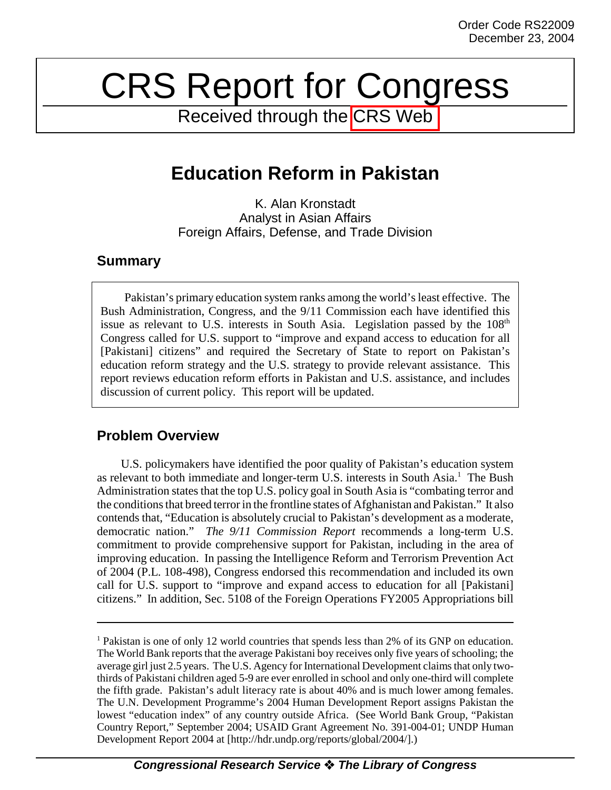# CRS Report for Congress

Received through the [CRS Web](http://www.fas.org/man/crs/index.html)

# **Education Reform in Pakistan**

K. Alan Kronstadt Analyst in Asian Affairs Foreign Affairs, Defense, and Trade Division

# **Summary**

Pakistan's primary education system ranks among the world's least effective. The Bush Administration, Congress, and the 9/11 Commission each have identified this issue as relevant to U.S. interests in South Asia. Legislation passed by the  $108<sup>th</sup>$ Congress called for U.S. support to "improve and expand access to education for all [Pakistani] citizens" and required the Secretary of State to report on Pakistan's education reform strategy and the U.S. strategy to provide relevant assistance. This report reviews education reform efforts in Pakistan and U.S. assistance, and includes discussion of current policy. This report will be updated.

# **Problem Overview**

U.S. policymakers have identified the poor quality of Pakistan's education system as relevant to both immediate and longer-term U.S. interests in South Asia.<sup>1</sup> The Bush Administration states that the top U.S. policy goal in South Asia is "combating terror and the conditions that breed terror in the frontline states of Afghanistan and Pakistan." It also contends that, "Education is absolutely crucial to Pakistan's development as a moderate, democratic nation." *The 9/11 Commission Report* recommends a long-term U.S. commitment to provide comprehensive support for Pakistan, including in the area of improving education. In passing the Intelligence Reform and Terrorism Prevention Act of 2004 (P.L. 108-498), Congress endorsed this recommendation and included its own call for U.S. support to "improve and expand access to education for all [Pakistani] citizens." In addition, Sec. 5108 of the Foreign Operations FY2005 Appropriations bill

<sup>&</sup>lt;sup>1</sup> Pakistan is one of only 12 world countries that spends less than 2% of its GNP on education. The World Bank reports that the average Pakistani boy receives only five years of schooling; the average girl just 2.5 years. The U.S. Agency for International Development claims that only twothirds of Pakistani children aged 5-9 are ever enrolled in school and only one-third will complete the fifth grade. Pakistan's adult literacy rate is about 40% and is much lower among females. The U.N. Development Programme's 2004 Human Development Report assigns Pakistan the lowest "education index" of any country outside Africa. (See World Bank Group, "Pakistan Country Report," September 2004; USAID Grant Agreement No. 391-004-01; UNDP Human Development Report 2004 at [http://hdr.undp.org/reports/global/2004/].)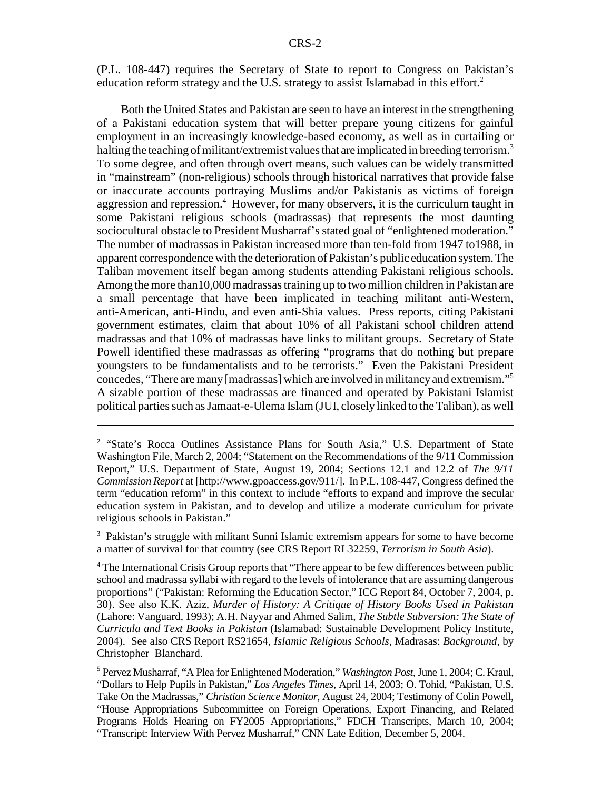(P.L. 108-447) requires the Secretary of State to report to Congress on Pakistan's education reform strategy and the U.S. strategy to assist Islamabad in this effort.<sup>2</sup>

Both the United States and Pakistan are seen to have an interest in the strengthening of a Pakistani education system that will better prepare young citizens for gainful employment in an increasingly knowledge-based economy, as well as in curtailing or halting the teaching of militant/extremist values that are implicated in breeding terrorism.<sup>3</sup> To some degree, and often through overt means, such values can be widely transmitted in "mainstream" (non-religious) schools through historical narratives that provide false or inaccurate accounts portraying Muslims and/or Pakistanis as victims of foreign aggression and repression.<sup>4</sup> However, for many observers, it is the curriculum taught in some Pakistani religious schools (madrassas) that represents the most daunting sociocultural obstacle to President Musharraf's stated goal of "enlightened moderation." The number of madrassas in Pakistan increased more than ten-fold from 1947 to1988, in apparent correspondence with the deterioration of Pakistan's public education system. The Taliban movement itself began among students attending Pakistani religious schools. Among the more than10,000 madrassas training up to two million children in Pakistan are a small percentage that have been implicated in teaching militant anti-Western, anti-American, anti-Hindu, and even anti-Shia values. Press reports, citing Pakistani government estimates, claim that about 10% of all Pakistani school children attend madrassas and that 10% of madrassas have links to militant groups. Secretary of State Powell identified these madrassas as offering "programs that do nothing but prepare youngsters to be fundamentalists and to be terrorists." Even the Pakistani President concedes, "There are many [madrassas] which are involved in militancy and extremism."5 A sizable portion of these madrassas are financed and operated by Pakistani Islamist political parties such as Jamaat-e-Ulema Islam (JUI, closely linked to the Taliban), as well

<sup>3</sup> Pakistan's struggle with militant Sunni Islamic extremism appears for some to have become a matter of survival for that country (see CRS Report RL32259, *Terrorism in South Asia*).

<sup>&</sup>lt;sup>2</sup> "State's Rocca Outlines Assistance Plans for South Asia," U.S. Department of State Washington File, March 2, 2004; "Statement on the Recommendations of the 9/11 Commission Report," U.S. Department of State, August 19, 2004; Sections 12.1 and 12.2 of *The 9/11 Commission Report* at [http://www.gpoaccess.gov/911/]. In P.L. 108-447, Congress defined the term "education reform" in this context to include "efforts to expand and improve the secular education system in Pakistan, and to develop and utilize a moderate curriculum for private religious schools in Pakistan."

<sup>&</sup>lt;sup>4</sup> The International Crisis Group reports that "There appear to be few differences between public school and madrassa syllabi with regard to the levels of intolerance that are assuming dangerous proportions" ("Pakistan: Reforming the Education Sector," ICG Report 84, October 7, 2004, p. 30). See also K.K. Aziz, *Murder of History: A Critique of History Books Used in Pakistan* (Lahore: Vanguard, 1993); A.H. Nayyar and Ahmed Salim, *The Subtle Subversion: The State of Curricula and Text Books in Pakistan* (Islamabad: Sustainable Development Policy Institute, 2004). See also CRS Report RS21654, *Islamic Religious Schools,* Madrasas: *Background,* by Christopher Blanchard.

<sup>5</sup> Pervez Musharraf, "A Plea for Enlightened Moderation," *Washington Post*, June 1, 2004; C. Kraul, "Dollars to Help Pupils in Pakistan," *Los Angeles Times*, April 14, 2003; O. Tohid, "Pakistan, U.S. Take On the Madrassas," *Christian Science Monitor*, August 24, 2004; Testimony of Colin Powell, "House Appropriations Subcommittee on Foreign Operations, Export Financing, and Related Programs Holds Hearing on FY2005 Appropriations," FDCH Transcripts, March 10, 2004; "Transcript: Interview With Pervez Musharraf," CNN Late Edition, December 5, 2004.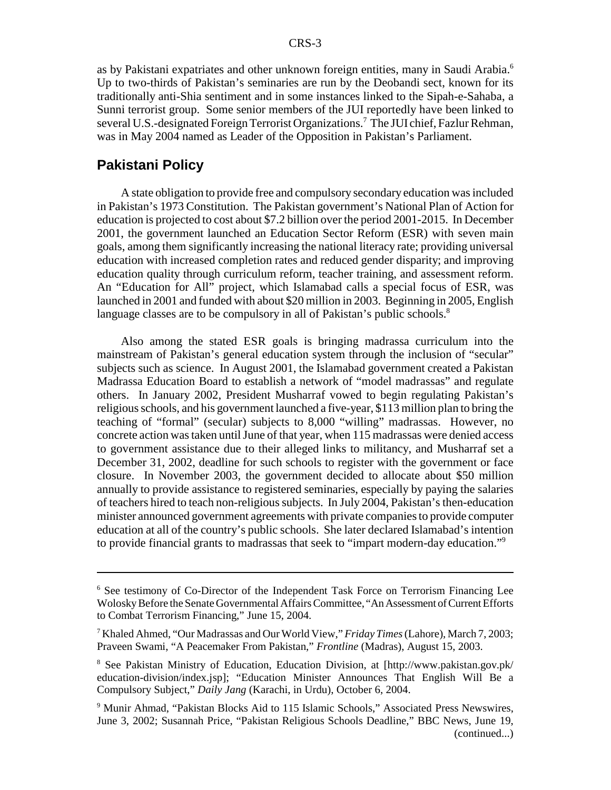as by Pakistani expatriates and other unknown foreign entities, many in Saudi Arabia.<sup>6</sup> Up to two-thirds of Pakistan's seminaries are run by the Deobandi sect, known for its traditionally anti-Shia sentiment and in some instances linked to the Sipah-e-Sahaba, a Sunni terrorist group. Some senior members of the JUI reportedly have been linked to several U.S.-designated Foreign Terrorist Organizations.<sup>7</sup> The JUI chief, Fazlur Rehman, was in May 2004 named as Leader of the Opposition in Pakistan's Parliament.

#### **Pakistani Policy**

A state obligation to provide free and compulsory secondary education was included in Pakistan's 1973 Constitution. The Pakistan government's National Plan of Action for education is projected to cost about \$7.2 billion over the period 2001-2015. In December 2001, the government launched an Education Sector Reform (ESR) with seven main goals, among them significantly increasing the national literacy rate; providing universal education with increased completion rates and reduced gender disparity; and improving education quality through curriculum reform, teacher training, and assessment reform. An "Education for All" project, which Islamabad calls a special focus of ESR, was launched in 2001 and funded with about \$20 million in 2003. Beginning in 2005, English language classes are to be compulsory in all of Pakistan's public schools.<sup>8</sup>

Also among the stated ESR goals is bringing madrassa curriculum into the mainstream of Pakistan's general education system through the inclusion of "secular" subjects such as science. In August 2001, the Islamabad government created a Pakistan Madrassa Education Board to establish a network of "model madrassas" and regulate others. In January 2002, President Musharraf vowed to begin regulating Pakistan's religious schools, and his government launched a five-year, \$113 million plan to bring the teaching of "formal" (secular) subjects to 8,000 "willing" madrassas. However, no concrete action was taken until June of that year, when 115 madrassas were denied access to government assistance due to their alleged links to militancy, and Musharraf set a December 31, 2002, deadline for such schools to register with the government or face closure. In November 2003, the government decided to allocate about \$50 million annually to provide assistance to registered seminaries, especially by paying the salaries of teachers hired to teach non-religious subjects. In July 2004, Pakistan's then-education minister announced government agreements with private companies to provide computer education at all of the country's public schools. She later declared Islamabad's intention to provide financial grants to madrassas that seek to "impart modern-day education."9

<sup>&</sup>lt;sup>6</sup> See testimony of Co-Director of the Independent Task Force on Terrorism Financing Lee Wolosky Before the Senate Governmental Affairs Committee, "An Assessment of Current Efforts to Combat Terrorism Financing," June 15, 2004.

<sup>7</sup> Khaled Ahmed, "Our Madrassas and Our World View," *Friday Times* (Lahore), March 7, 2003; Praveen Swami, "A Peacemaker From Pakistan," *Frontline* (Madras), August 15, 2003.

<sup>8</sup> See Pakistan Ministry of Education, Education Division, at [http://www.pakistan.gov.pk/ education-division/index.jsp]; "Education Minister Announces That English Will Be a Compulsory Subject," *Daily Jang* (Karachi, in Urdu), October 6, 2004.

<sup>&</sup>lt;sup>9</sup> Munir Ahmad, "Pakistan Blocks Aid to 115 Islamic Schools," Associated Press Newswires, June 3, 2002; Susannah Price, "Pakistan Religious Schools Deadline," BBC News, June 19, (continued...)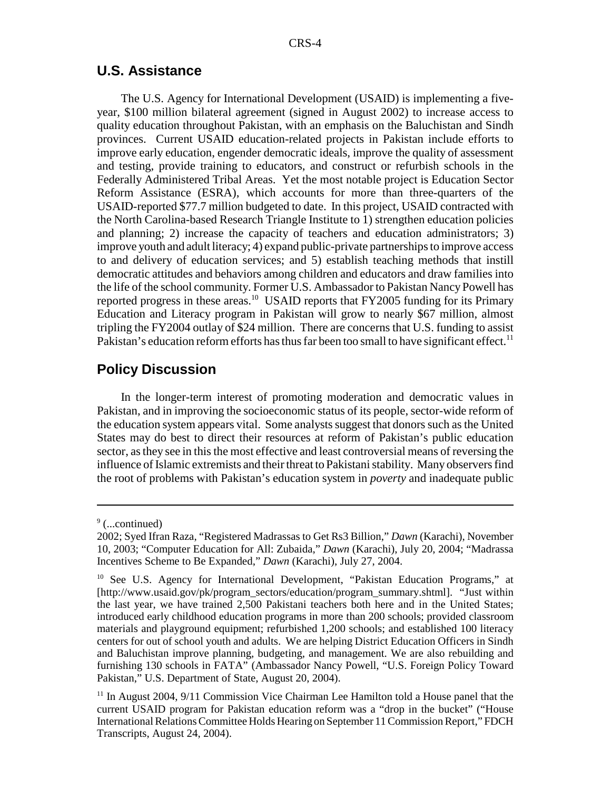### **U.S. Assistance**

The U.S. Agency for International Development (USAID) is implementing a fiveyear, \$100 million bilateral agreement (signed in August 2002) to increase access to quality education throughout Pakistan, with an emphasis on the Baluchistan and Sindh provinces. Current USAID education-related projects in Pakistan include efforts to improve early education, engender democratic ideals, improve the quality of assessment and testing, provide training to educators, and construct or refurbish schools in the Federally Administered Tribal Areas. Yet the most notable project is Education Sector Reform Assistance (ESRA), which accounts for more than three-quarters of the USAID-reported \$77.7 million budgeted to date. In this project, USAID contracted with the North Carolina-based Research Triangle Institute to 1) strengthen education policies and planning; 2) increase the capacity of teachers and education administrators; 3) improve youth and adult literacy; 4) expand public-private partnerships to improve access to and delivery of education services; and 5) establish teaching methods that instill democratic attitudes and behaviors among children and educators and draw families into the life of the school community. Former U.S. Ambassador to Pakistan Nancy Powell has reported progress in these areas.<sup>10</sup> USAID reports that FY2005 funding for its Primary Education and Literacy program in Pakistan will grow to nearly \$67 million, almost tripling the FY2004 outlay of \$24 million. There are concerns that U.S. funding to assist Pakistan's education reform efforts has thus far been too small to have significant effect.<sup>11</sup>

# **Policy Discussion**

In the longer-term interest of promoting moderation and democratic values in Pakistan, and in improving the socioeconomic status of its people, sector-wide reform of the education system appears vital. Some analysts suggest that donors such as the United States may do best to direct their resources at reform of Pakistan's public education sector, as they see in this the most effective and least controversial means of reversing the influence of Islamic extremists and their threat to Pakistani stability. Many observers find the root of problems with Pakistan's education system in *poverty* and inadequate public

<sup>&</sup>lt;sup>9</sup> (...continued)

<sup>2002;</sup> Syed Ifran Raza, "Registered Madrassas to Get Rs3 Billion," *Dawn* (Karachi), November 10, 2003; "Computer Education for All: Zubaida," *Dawn* (Karachi), July 20, 2004; "Madrassa Incentives Scheme to Be Expanded," *Dawn* (Karachi), July 27, 2004.

<sup>&</sup>lt;sup>10</sup> See U.S. Agency for International Development, "Pakistan Education Programs," at [http://www.usaid.gov/pk/program\_sectors/education/program\_summary.shtml]. "Just within the last year, we have trained 2,500 Pakistani teachers both here and in the United States; introduced early childhood education programs in more than 200 schools; provided classroom materials and playground equipment; refurbished 1,200 schools; and established 100 literacy centers for out of school youth and adults. We are helping District Education Officers in Sindh and Baluchistan improve planning, budgeting, and management. We are also rebuilding and furnishing 130 schools in FATA" (Ambassador Nancy Powell, "U.S. Foreign Policy Toward Pakistan," U.S. Department of State, August 20, 2004).

<sup>&</sup>lt;sup>11</sup> In August 2004, 9/11 Commission Vice Chairman Lee Hamilton told a House panel that the current USAID program for Pakistan education reform was a "drop in the bucket" ("House International Relations Committee Holds Hearing on September 11 Commission Report," FDCH Transcripts, August 24, 2004).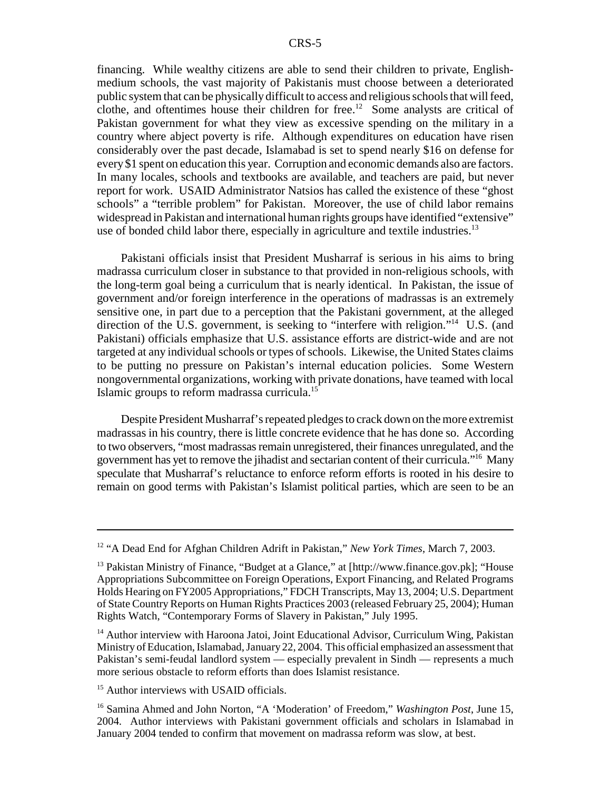financing. While wealthy citizens are able to send their children to private, Englishmedium schools, the vast majority of Pakistanis must choose between a deteriorated public system that can be physically difficult to access and religious schools that will feed, clothe, and oftentimes house their children for free.<sup>12</sup> Some analysts are critical of Pakistan government for what they view as excessive spending on the military in a country where abject poverty is rife. Although expenditures on education have risen considerably over the past decade, Islamabad is set to spend nearly \$16 on defense for every \$1 spent on education this year. Corruption and economic demands also are factors. In many locales, schools and textbooks are available, and teachers are paid, but never report for work. USAID Administrator Natsios has called the existence of these "ghost schools" a "terrible problem" for Pakistan. Moreover, the use of child labor remains widespread in Pakistan and international human rights groups have identified "extensive" use of bonded child labor there, especially in agriculture and textile industries.<sup>13</sup>

Pakistani officials insist that President Musharraf is serious in his aims to bring madrassa curriculum closer in substance to that provided in non-religious schools, with the long-term goal being a curriculum that is nearly identical. In Pakistan, the issue of government and/or foreign interference in the operations of madrassas is an extremely sensitive one, in part due to a perception that the Pakistani government, at the alleged direction of the U.S. government, is seeking to "interfere with religion."<sup>14</sup> U.S. (and Pakistani) officials emphasize that U.S. assistance efforts are district-wide and are not targeted at any individual schools or types of schools. Likewise, the United States claims to be putting no pressure on Pakistan's internal education policies. Some Western nongovernmental organizations, working with private donations, have teamed with local Islamic groups to reform madrassa curricula.15

Despite President Musharraf's repeated pledges to crack down on the more extremist madrassas in his country, there is little concrete evidence that he has done so. According to two observers, "most madrassas remain unregistered, their finances unregulated, and the government has yet to remove the jihadist and sectarian content of their curricula."16 Many speculate that Musharraf's reluctance to enforce reform efforts is rooted in his desire to remain on good terms with Pakistan's Islamist political parties, which are seen to be an

<sup>12 &</sup>quot;A Dead End for Afghan Children Adrift in Pakistan," *New York Times*, March 7, 2003.

<sup>&</sup>lt;sup>13</sup> Pakistan Ministry of Finance, "Budget at a Glance," at  $[http://www.finance.gov.ph.]$ ; "House Appropriations Subcommittee on Foreign Operations, Export Financing, and Related Programs Holds Hearing on FY2005 Appropriations," FDCH Transcripts, May 13, 2004; U.S. Department of State Country Reports on Human Rights Practices 2003 (released February 25, 2004); Human Rights Watch, "Contemporary Forms of Slavery in Pakistan," July 1995.

<sup>&</sup>lt;sup>14</sup> Author interview with Haroona Jatoi, Joint Educational Advisor, Curriculum Wing, Pakistan Ministry of Education, Islamabad, January 22, 2004. This official emphasized an assessment that Pakistan's semi-feudal landlord system — especially prevalent in Sindh — represents a much more serious obstacle to reform efforts than does Islamist resistance.

<sup>&</sup>lt;sup>15</sup> Author interviews with USAID officials.

<sup>16</sup> Samina Ahmed and John Norton, "A 'Moderation' of Freedom," *Washington Post*, June 15, 2004. Author interviews with Pakistani government officials and scholars in Islamabad in January 2004 tended to confirm that movement on madrassa reform was slow, at best.